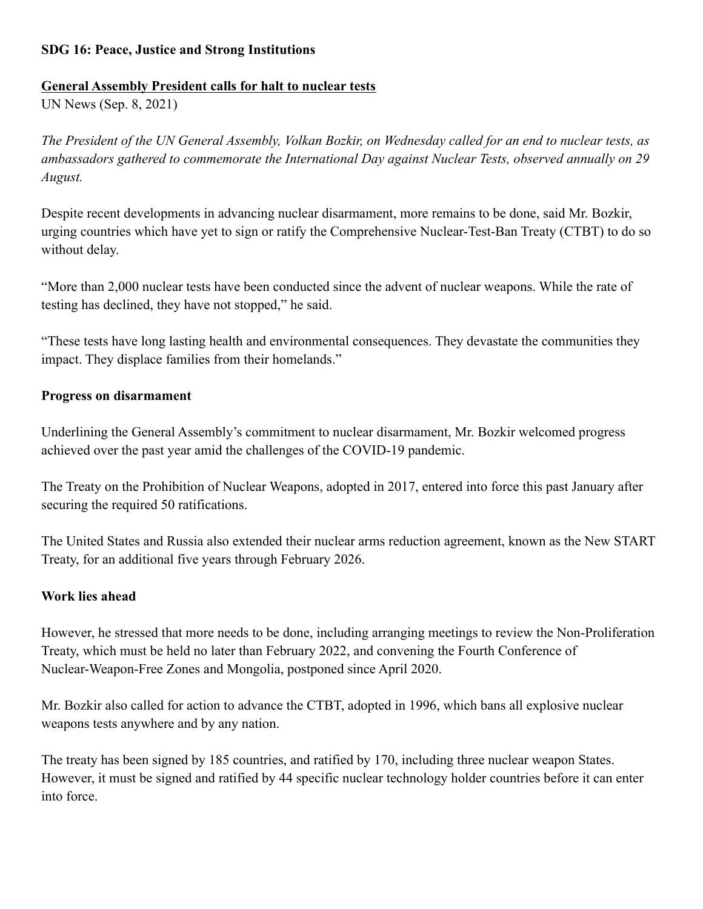## **SDG 16: Peace, Justice and Strong Institutions**

### **General Assembly President calls for halt to nuclear tests**

UN News (Sep. 8, 2021)

*The President of the UN General Assembly, Volkan Bozkir, on Wednesday called for an end to nuclear tests, as ambassadors gathered to commemorate the International Day against Nuclear Tests, observed annually on 29 August.*

Despite recent developments in advancing nuclear disarmament, more remains to be done, said Mr. Bozkir, urging countries which have yet to sign or ratify the Comprehensive Nuclear-Test-Ban Treaty (CTBT) to do so without delay.

"More than 2,000 nuclear tests have been conducted since the advent of nuclear weapons. While the rate of testing has declined, they have not stopped," he said.

"These tests have long lasting health and environmental consequences. They devastate the communities they impact. They displace families from their homelands."

## **Progress on disarmament**

Underlining the General Assembly's commitment to nuclear disarmament, Mr. Bozkir welcomed progress achieved over the past year amid the challenges of the COVID-19 pandemic.

The Treaty on the Prohibition of Nuclear Weapons, adopted in 2017, entered into force this past January after securing the required 50 ratifications.

The United States and Russia also extended their nuclear arms reduction agreement, known as the New START Treaty, for an additional five years through February 2026.

# **Work lies ahead**

However, he stressed that more needs to be done, including arranging meetings to review the Non-Proliferation Treaty, which must be held no later than February 2022, and convening the Fourth Conference of Nuclear-Weapon-Free Zones and Mongolia, postponed since April 2020.

Mr. Bozkir also called for action to advance the CTBT, adopted in 1996, which bans all explosive nuclear weapons tests anywhere and by any nation.

The treaty has been signed by 185 countries, and ratified by 170, including three nuclear weapon States. However, it must be signed and ratified by 44 specific nuclear technology holder countries before it can enter into force.